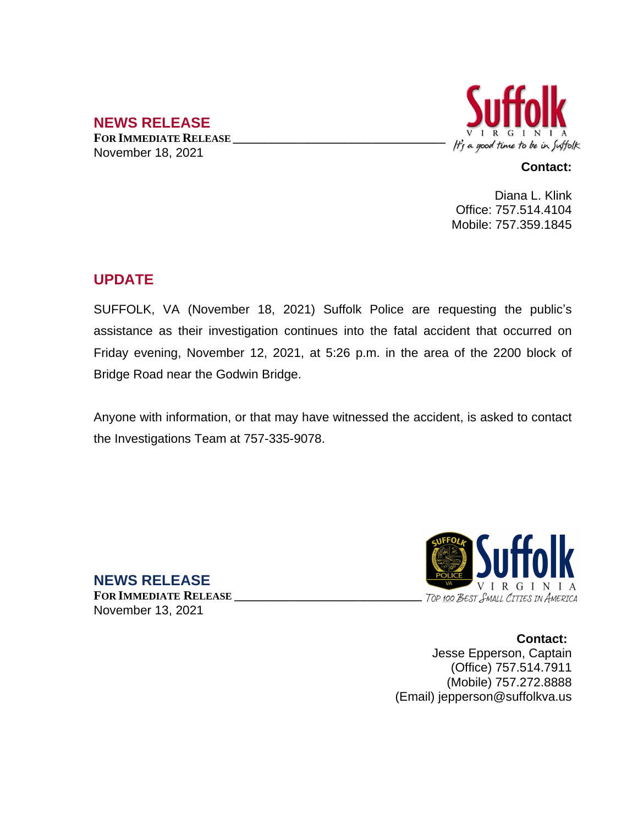## **NEWS RELEASE**

**FOR IMMEDIATE RELEASE \_\_\_\_\_\_\_\_\_\_\_\_\_\_\_\_\_\_\_\_\_\_\_\_\_\_\_\_\_\_\_\_\_\_** November 18, 2021



#### **Contact:**

Diana L. Klink Office: 757.514.4104 Mobile: 757.359.1845

# **UPDATE**

SUFFOLK, VA (November 18, 2021) Suffolk Police are requesting the public's assistance as their investigation continues into the fatal accident that occurred on Friday evening, November 12, 2021, at 5:26 p.m. in the area of the 2200 block of Bridge Road near the Godwin Bridge.

Anyone with information, or that may have witnessed the accident, is asked to contact the Investigations Team at 757-335-9078.



**Contact:** Jesse Epperson, Captain (Office) 757.514.7911 (Mobile) 757.272.8888 (Email) jepperson@suffolkva.us

**NEWS RELEASE FOR IMMEDIATE RELEASE \_\_\_\_\_\_\_\_\_\_\_\_\_\_\_\_\_\_\_\_\_\_\_\_\_\_\_\_\_\_** November 13, 2021